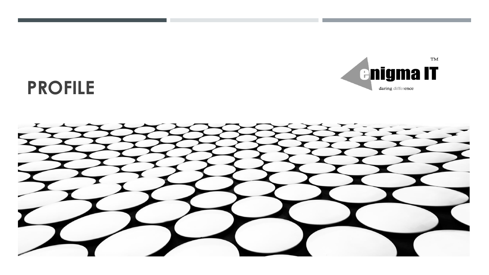

# **PROFILE**

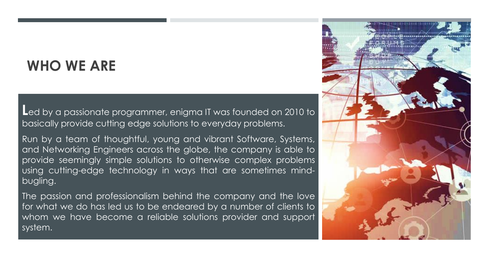### **WHO WE ARE**

**L**ed by <sup>a</sup> passionate programmer, enigma IT was founded on <sup>2010</sup> to basically provide cutting edge solutions to everyday problems.

Run by a team of thoughtful, young and vibrant Software, Systems, and Networking Engineers across the globe, the company is able to provide seemingly simple solutions to otherwise complex problems using cutting-edge technology in ways that are sometimes mindbugling.

The passion and professionalism behind the company and the love for what we do has led us to be endeared by a number of clients to whom we have become a reliable solutions provider and support system.

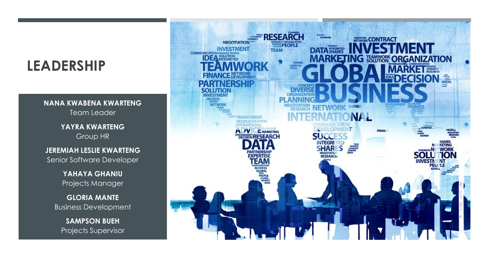## **LEADERSHIP**

**NANA KWABENA KWARTENG** Team Leader

**YAYRA KWARTENG** Group HR

**JEREMIAH LESLIE KWARTENG** Senior Software Developer

> **YAHAYA GHANIU** Projects Manager

**GLORIA MANTE** Business Development

**SAMPSON BUEH** Projects Supervisor

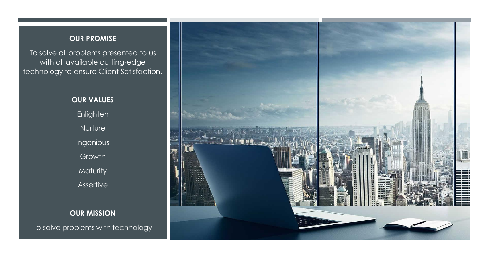#### **OUR PROMISE**

To solve all problems presented to us with all available cutting-edge technology to ensure Client Satisfaction.

> **OUR VALUES** Enlighten **Nurture** Ingenious Growth Maturity Assertive

**OUR MISSION** To solve problems with technology

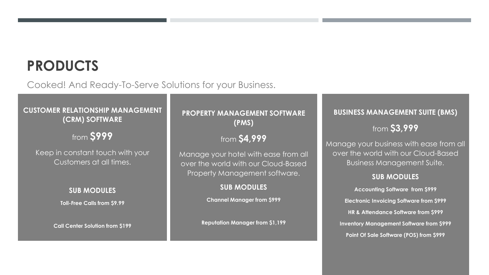## **PRODUCTS**

Cooked! And Ready-To-Serve Solutions for your Business.

### **CUSTOMER RELATIONSHIP MANAGEMENT (CRM) SOFTWARE**

### from **\$999**

Keep in constant touch with your Customers at all times.

#### **SUB MODULES**

**Toll-Free Calls from \$9.99**

**Call Center Solution from \$199**

### **PROPERTY MANAGEMENT SOFTWARE (PMS)**

### from **\$4,999**

Manage your hotel with ease from all over the world with our Cloud-Based Property Management software.

### **SUB MODULES**

**Channel Manager from \$999**

**Reputation Manager from \$1,199**

#### **BUSINESS MANAGEMENT SUITE (BMS)**

### from **\$3,999**

Manage your business with ease from all over the world with our Cloud-Based Business Management Suite.

#### **SUB MODULES**

**Accounting Software from \$999 Electronic Invoicing Software from \$999 HR & Attendance Software from \$999 Inventory Management Software from \$999 Point Of Sale Software (POS) from \$999**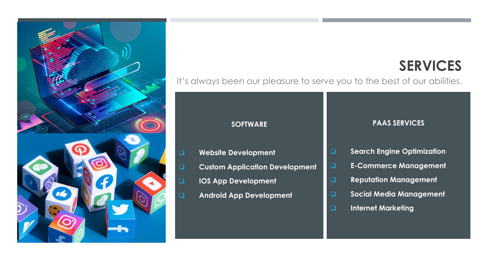

# **SERVICES**

It's always been our pleasure to serve you to the best of our abilities.

#### **SOFTWARE**

- ❑ **Website Development**
- ❑ **Custom Application Development**
- ❑ **IOS App Development**
- ❑ **Android App Development**

#### **PAAS SERVICES**

- ❑ **Search Engine Optimization**
- ❑ **E-Commerce Management**
- ❑ **Reputation Management**
- ❑ **Social Media Management**
- ❑ **Internet Marketing**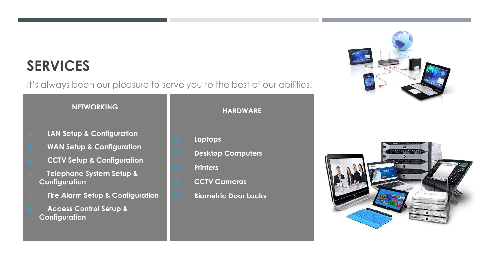## **SERVICES**

It's always been our pleasure to serve you to the best of our abilities.

### **NETWORKING**

- ❑ **LAN Setup & Configuration**
- ❑ **WAN Setup & Configuration**
- ❑ **CCTV Setup & Configuration**
- ❑ **Telephone System Setup & Configuration**
- ❑ **Fire Alarm Setup & Configuration**
- ❑ **Access Control Setup & Configuration**

#### **HARDWARE**

- ❑ **Laptops**
- ❑ **Desktop Computers**
- ❑ **Printers**
- ❑ **CCTV Cameras**
- ❑ **Biometric Door Locks**



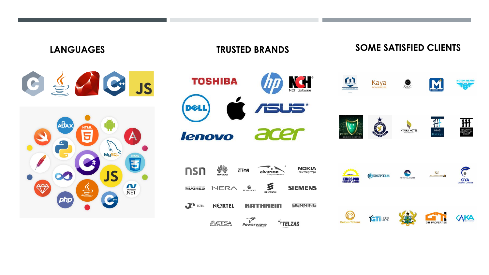### **LANGUAGES TRUSTED BRANDS SOME SATISFIED CLIENTS**



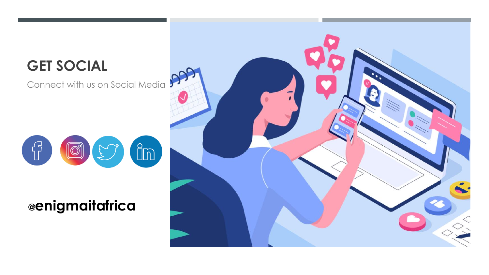# **GET SOCIAL**

Connect with us on Social Media



### **@enigmaitafrica**